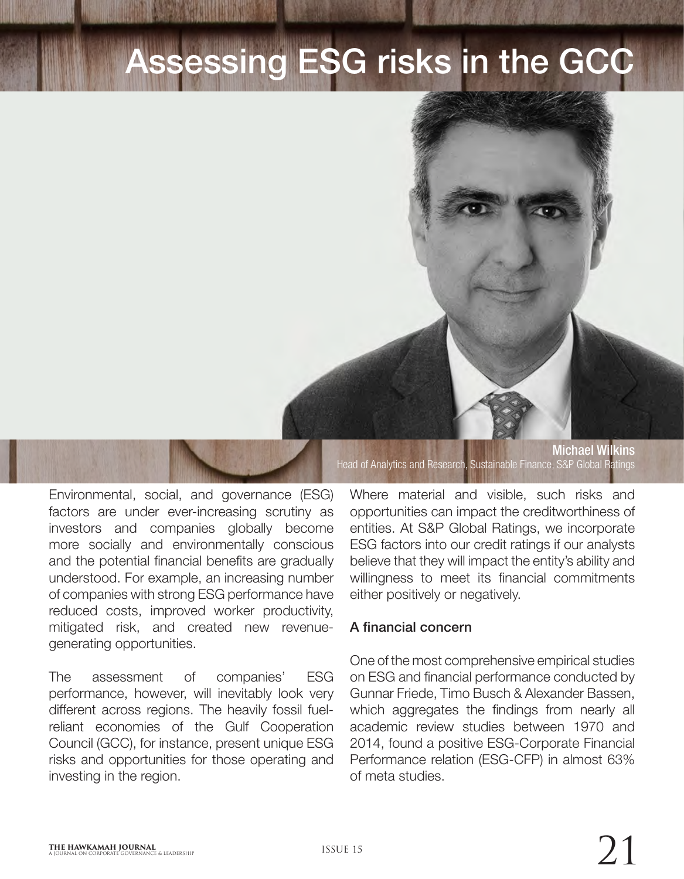# sessing ESG risks in the GCC

Michael Wilkins Head of Analytics and Research, Sustainable Finance, S&P Global Ratings

Environmental, social, and governance (ESG) factors are under ever-increasing scrutiny as investors and companies globally become more socially and environmentally conscious and the potential financial benefits are gradually understood. For example, an increasing number of companies with strong ESG performance have reduced costs, improved worker productivity, mitigated risk, and created new revenuegenerating opportunities.

The assessment of companies' ESG performance, however, will inevitably look very different across regions. The heavily fossil fuelreliant economies of the Gulf Cooperation Council (GCC), for instance, present unique ESG risks and opportunities for those operating and investing in the region.

Where material and visible, such risks and opportunities can impact the creditworthiness of entities. At S&P Global Ratings, we incorporate ESG factors into our credit ratings if our analysts believe that they will impact the entity's ability and willingness to meet its financial commitments either positively or negatively.

#### A financial concern

One of the most comprehensive empirical studies on ESG and financial performance conducted by Gunnar Friede, Timo Busch & Alexander Bassen, which aggregates the findings from nearly all academic review studies between 1970 and 2014, found a positive ESG-Corporate Financial Performance relation (ESG-CFP) in almost 63% of meta studies.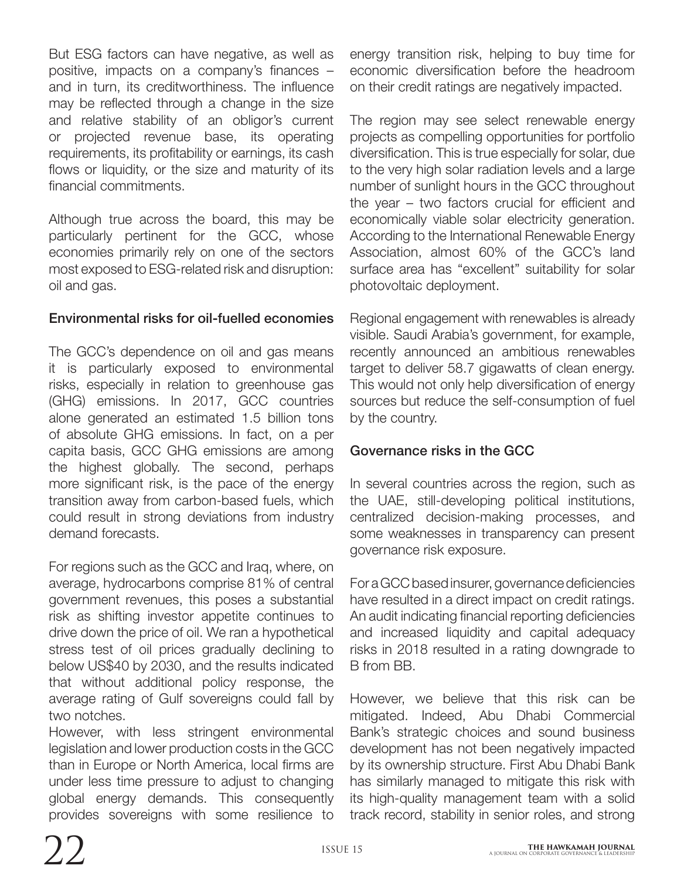But ESG factors can have negative, as well as positive, impacts on a company's finances – and in turn, its creditworthiness. The influence may be reflected through a change in the size and relative stability of an obligor's current or projected revenue base, its operating requirements, its profitability or earnings, its cash flows or liquidity, or the size and maturity of its financial commitments.

Although true across the board, this may be particularly pertinent for the GCC, whose economies primarily rely on one of the sectors most exposed to ESG-related risk and disruption: oil and gas.

#### Environmental risks for oil-fuelled economies

The GCC's dependence on oil and gas means it is particularly exposed to environmental risks, especially in relation to greenhouse gas (GHG) emissions. In 2017, GCC countries alone generated an estimated 1.5 billion tons of absolute GHG emissions. In fact, on a per capita basis, GCC GHG emissions are among the highest globally. The second, perhaps more significant risk, is the pace of the energy transition away from carbon-based fuels, which could result in strong deviations from industry demand forecasts.

For regions such as the GCC and Iraq, where, on average, hydrocarbons comprise 81% of central government revenues, this poses a substantial risk as shifting investor appetite continues to drive down the price of oil. We ran a hypothetical stress test of oil prices gradually declining to below US\$40 by 2030, and the results indicated that without additional policy response, the average rating of Gulf sovereigns could fall by two notches.

However, with less stringent environmental legislation and lower production costs in the GCC than in Europe or North America, local firms are under less time pressure to adjust to changing global energy demands. This consequently provides sovereigns with some resilience to

energy transition risk, helping to buy time for economic diversification before the headroom on their credit ratings are negatively impacted.

The region may see select renewable energy projects as compelling opportunities for portfolio diversification. This is true especially for solar, due to the very high solar radiation levels and a large number of sunlight hours in the GCC throughout the year – two factors crucial for efficient and economically viable solar electricity generation. According to the International Renewable Energy Association, almost 60% of the GCC's land surface area has "excellent" suitability for solar photovoltaic deployment.

Regional engagement with renewables is already visible. Saudi Arabia's government, for example, recently announced an ambitious renewables target to deliver 58.7 gigawatts of clean energy. This would not only help diversification of energy sources but reduce the self-consumption of fuel by the country.

## Governance risks in the GCC

In several countries across the region, such as the UAE, still-developing political institutions, centralized decision-making processes, and some weaknesses in transparency can present governance risk exposure.

For a GCC based insurer, governance deficiencies have resulted in a direct impact on credit ratings. An audit indicating financial reporting deficiencies and increased liquidity and capital adequacy risks in 2018 resulted in a rating downgrade to B from BB.

However, we believe that this risk can be mitigated. Indeed, Abu Dhabi Commercial Bank's strategic choices and sound business development has not been negatively impacted by its ownership structure. First Abu Dhabi Bank has similarly managed to mitigate this risk with its high-quality management team with a solid track record, stability in senior roles, and strong